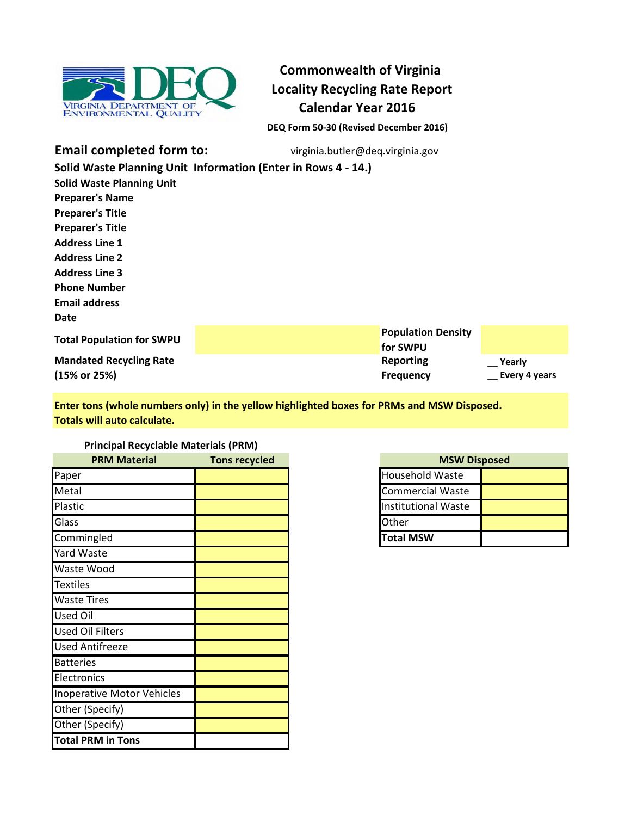

# **Commonwealth of Virginia Locality Recycling Rate Report Calendar Year 2016**

**DEQ Form 50-30 (Revised December 2016)**

**Email completed form to:**

virginia.butler@deq.virginia.gov

|                                  | Solid Waste Planning Unit Information (Enter in Rows 4 - 14.) |                           |               |
|----------------------------------|---------------------------------------------------------------|---------------------------|---------------|
| <b>Solid Waste Planning Unit</b> |                                                               |                           |               |
| <b>Preparer's Name</b>           |                                                               |                           |               |
| <b>Preparer's Title</b>          |                                                               |                           |               |
| <b>Preparer's Title</b>          |                                                               |                           |               |
| <b>Address Line 1</b>            |                                                               |                           |               |
| <b>Address Line 2</b>            |                                                               |                           |               |
| <b>Address Line 3</b>            |                                                               |                           |               |
| <b>Phone Number</b>              |                                                               |                           |               |
| <b>Email address</b>             |                                                               |                           |               |
| Date                             |                                                               |                           |               |
| <b>Total Population for SWPU</b> |                                                               | <b>Population Density</b> |               |
|                                  |                                                               | for SWPU                  |               |
| <b>Mandated Recycling Rate</b>   |                                                               | <b>Reporting</b>          | Yearly        |
| (15% or 25%)                     |                                                               | <b>Frequency</b>          | Every 4 years |

**Enter tons (whole numbers only) in the yellow highlighted boxes for PRMs and MSW Disposed. Totals will auto calculate.**

### **Principal Recyclable Materials (PRM)**

| <b>PRM Material</b>        | <b>Tons recycled</b> | <b>MSWI</b>                |
|----------------------------|----------------------|----------------------------|
| Paper                      |                      | <b>Household Waste</b>     |
| Metal                      |                      | <b>Commercial Waste</b>    |
| Plastic                    |                      | <b>Institutional Waste</b> |
| Glass                      |                      | Other                      |
| Commingled                 |                      | <b>Total MSW</b>           |
| Yard Waste                 |                      |                            |
| Waste Wood                 |                      |                            |
| <b>Textiles</b>            |                      |                            |
| <b>Waste Tires</b>         |                      |                            |
| <b>Used Oil</b>            |                      |                            |
| <b>Used Oil Filters</b>    |                      |                            |
| <b>Used Antifreeze</b>     |                      |                            |
| <b>Batteries</b>           |                      |                            |
| Electronics                |                      |                            |
| Inoperative Motor Vehicles |                      |                            |
| Other (Specify)            |                      |                            |
| Other (Specify)            |                      |                            |
| <b>Total PRM in Tons</b>   |                      |                            |

| <b>MSW Disposed</b>        |  |  |
|----------------------------|--|--|
| <b>Household Waste</b>     |  |  |
| <b>Commercial Waste</b>    |  |  |
| <b>Institutional Waste</b> |  |  |
| <b>Other</b>               |  |  |
| <b>Total MSW</b>           |  |  |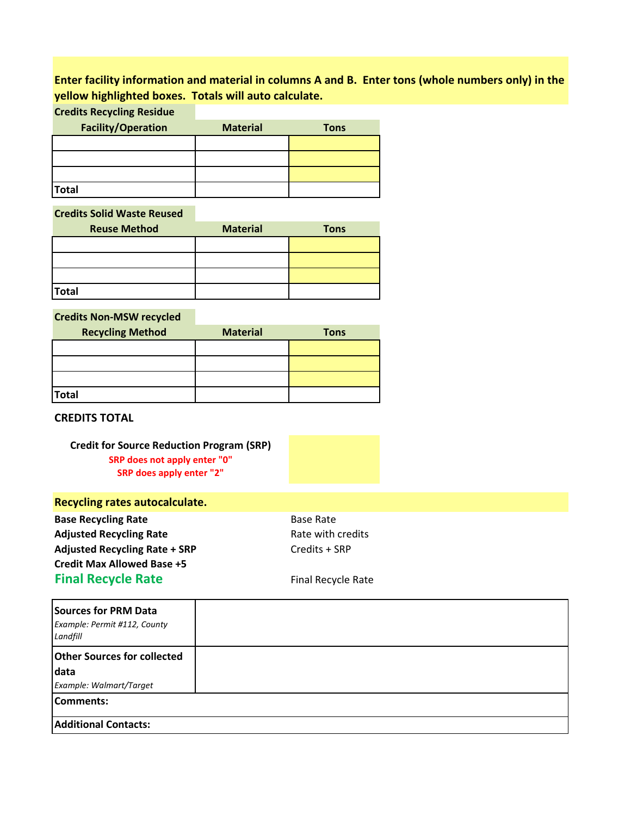### **Enter facility information and material in columns A and B. Enter tons (whole numbers only) in the yellow highlighted boxes. Totals will auto calculate.**

**Credits Recycling Residue**

| <b>Facility/Operation</b> | <b>Material</b> | <b>Tons</b> |
|---------------------------|-----------------|-------------|
|                           |                 |             |
|                           |                 |             |
|                           |                 |             |
| <b>Total</b>              |                 |             |

**Credits Solid Waste Reused**

| <b>Reuse Method</b> | <b>Material</b> | <b>Tons</b> |
|---------------------|-----------------|-------------|
|                     |                 |             |
|                     |                 |             |
|                     |                 |             |
| <b>Total</b>        |                 |             |

**Credits Non-MSW recycled**

| <b>Recycling Method</b> | <b>Material</b> | <b>Tons</b> |
|-------------------------|-----------------|-------------|
|                         |                 |             |
|                         |                 |             |
|                         |                 |             |
| <b>Total</b>            |                 |             |

**CREDITS TOTAL**

**Credit for Source Reduction Program (SRP) SRP does not apply enter "0" SRP does apply enter "2"**

### **Recycling rates autocalculate.**

**Base Recycling Rate Base Rate Base Rate** Adjusted Recycling Rate **Rate State State State State With credits** Adjusted Recycling Rate + SRP Credits + SRP **Credit Max Allowed Base +5 Final Recycle Rate** Final Recycle Rate

| Sources for PRM Data<br>Example: Permit #112, County<br>Landfill |  |
|------------------------------------------------------------------|--|
| <b>Other Sources for collected</b>                               |  |
| data                                                             |  |
| Example: Walmart/Target                                          |  |
| Comments:                                                        |  |
| <b>Additional Contacts:</b>                                      |  |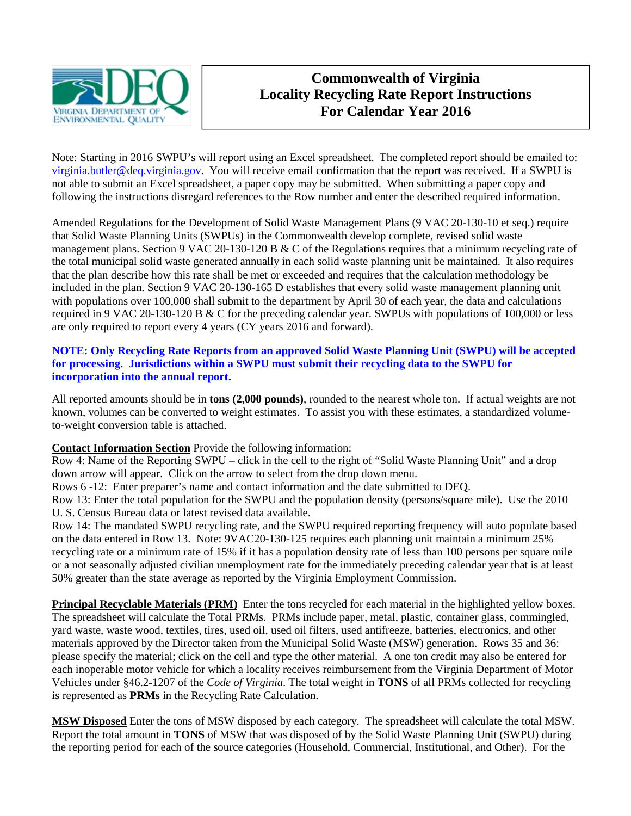

## **Commonwealth of Virginia Locality Recycling Rate Report Instructions For Calendar Year 2016**

Note: Starting in 2016 SWPU's will report using an Excel spreadsheet. The completed report should be emailed to: [virginia.butler@deq.virginia.gov](mailto:virginia.butler@deq.virginia.gov). You will receive email confirmation that the report was received. If a SWPU is not able to submit an Excel spreadsheet, a paper copy may be submitted. When submitting a paper copy and following the instructions disregard references to the Row number and enter the described required information.

Amended Regulations for the Development of Solid Waste Management Plans (9 VAC 20-130-10 et seq.) require that Solid Waste Planning Units (SWPUs) in the Commonwealth develop complete, revised solid waste management plans. Section 9 VAC 20-130-120 B & C of the Regulations requires that a minimum recycling rate of the total municipal solid waste generated annually in each solid waste planning unit be maintained. It also requires that the plan describe how this rate shall be met or exceeded and requires that the calculation methodology be included in the plan. Section 9 VAC 20-130-165 D establishes that every solid waste management planning unit with populations over 100,000 shall submit to the department by April 30 of each year, the data and calculations required in 9 VAC 20-130-120 B & C for the preceding calendar year. SWPUs with populations of 100,000 or less are only required to report every 4 years (CY years 2016 and forward).

### **NOTE: Only Recycling Rate Reports from an approved Solid Waste Planning Unit (SWPU) will be accepted for processing. Jurisdictions within a SWPU must submit their recycling data to the SWPU for incorporation into the annual report.**

All reported amounts should be in **tons (2,000 pounds)**, rounded to the nearest whole ton. If actual weights are not known, volumes can be converted to weight estimates. To assist you with these estimates, a standardized volumeto-weight conversion table is attached.

### **Contact Information Section** Provide the following information:

Row 4: Name of the Reporting SWPU – click in the cell to the right of "Solid Waste Planning Unit" and a drop down arrow will appear. Click on the arrow to select from the drop down menu.

Rows 6 -12: Enter preparer's name and contact information and the date submitted to DEQ.

Row 13: Enter the total population for the SWPU and the population density (persons/square mile). Use the 2010 U. S. Census Bureau data or latest revised data available.

Row 14: The mandated SWPU recycling rate, and the SWPU required reporting frequency will auto populate based on the data entered in Row 13. Note: 9VAC20-130-125 requires each planning unit maintain a minimum 25% recycling rate or a minimum rate of 15% if it has a population density rate of less than 100 persons per square mile or a not seasonally adjusted civilian unemployment rate for the immediately preceding calendar year that is at least 50% greater than the state average as reported by the Virginia Employment Commission.

**Principal Recyclable Materials (PRM)** Enter the tons recycled for each material in the highlighted yellow boxes. The spreadsheet will calculate the Total PRMs. PRMs include paper, metal, plastic, container glass, commingled, yard waste, waste wood, textiles, tires, used oil, used oil filters, used antifreeze, batteries, electronics, and other materials approved by the Director taken from the Municipal Solid Waste (MSW) generation. Rows 35 and 36: please specify the material; click on the cell and type the other material. A one ton credit may also be entered for each inoperable motor vehicle for which a locality receives reimbursement from the Virginia Department of Motor Vehicles under §46.2-1207 of the *Code of Virginia*. The total weight in **TONS** of all PRMs collected for recycling is represented as **PRMs** in the Recycling Rate Calculation.

**MSW Disposed** Enter the tons of MSW disposed by each category. The spreadsheet will calculate the total MSW. Report the total amount in **TONS** of MSW that was disposed of by the Solid Waste Planning Unit (SWPU) during the reporting period for each of the source categories (Household, Commercial, Institutional, and Other). For the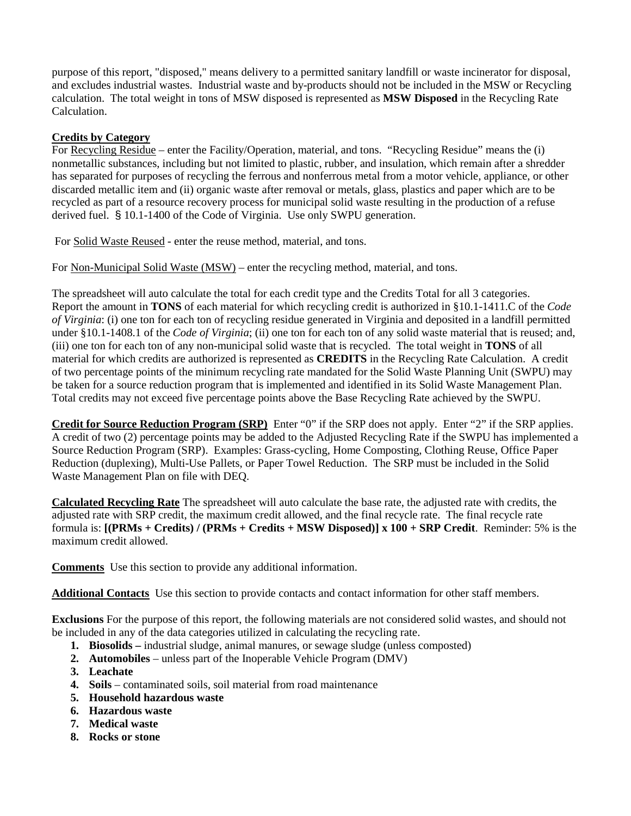purpose of this report, "disposed," means delivery to a permitted sanitary landfill or waste incinerator for disposal, and excludes industrial wastes. Industrial waste and by-products should not be included in the MSW or Recycling calculation. The total weight in tons of MSW disposed is represented as **MSW Disposed** in the Recycling Rate Calculation.

### **Credits by Category**

For Recycling Residue – enter the Facility/Operation, material, and tons. "Recycling Residue" means the (i) nonmetallic substances, including but not limited to plastic, rubber, and insulation, which remain after a shredder has separated for purposes of recycling the ferrous and nonferrous metal from a motor vehicle, appliance, or other discarded metallic item and (ii) organic waste after removal or metals, glass, plastics and paper which are to be recycled as part of a resource recovery process for municipal solid waste resulting in the production of a refuse derived fuel. § 10.1-1400 of the Code of Virginia. Use only SWPU generation.

For Solid Waste Reused - enter the reuse method, material, and tons.

For Non-Municipal Solid Waste (MSW) – enter the recycling method, material, and tons.

The spreadsheet will auto calculate the total for each credit type and the Credits Total for all 3 categories. Report the amount in **TONS** of each material for which recycling credit is authorized in §10.1-1411.C of the *Code of Virginia*: (i) one ton for each ton of recycling residue generated in Virginia and deposited in a landfill permitted under §10.1-1408.1 of the *Code of Virginia*; (ii) one ton for each ton of any solid waste material that is reused; and, (iii) one ton for each ton of any non-municipal solid waste that is recycled. The total weight in **TONS** of all material for which credits are authorized is represented as **CREDITS** in the Recycling Rate Calculation. A credit of two percentage points of the minimum recycling rate mandated for the Solid Waste Planning Unit (SWPU) may be taken for a source reduction program that is implemented and identified in its Solid Waste Management Plan. Total credits may not exceed five percentage points above the Base Recycling Rate achieved by the SWPU.

**Credit for Source Reduction Program (SRP)** Enter "0" if the SRP does not apply. Enter "2" if the SRP applies. A credit of two (2) percentage points may be added to the Adjusted Recycling Rate if the SWPU has implemented a Source Reduction Program (SRP). Examples: Grass-cycling, Home Composting, Clothing Reuse, Office Paper Reduction (duplexing), Multi-Use Pallets, or Paper Towel Reduction. The SRP must be included in the Solid Waste Management Plan on file with DEQ.

**Calculated Recycling Rate** The spreadsheet will auto calculate the base rate, the adjusted rate with credits, the adjusted rate with SRP credit, the maximum credit allowed, and the final recycle rate. The final recycle rate formula is: **[(PRMs + Credits) / (PRMs + Credits + MSW Disposed)] x 100 + SRP Credit**. Reminder: 5% is the maximum credit allowed.

**Comments** Use this section to provide any additional information.

**Additional Contacts** Use this section to provide contacts and contact information for other staff members.

**Exclusions** For the purpose of this report, the following materials are not considered solid wastes, and should not be included in any of the data categories utilized in calculating the recycling rate.

- **1. Biosolids –** industrial sludge, animal manures, or sewage sludge (unless composted)
- **2. Automobiles** unless part of the Inoperable Vehicle Program (DMV)
- **3. Leachate**
- **4. Soils** contaminated soils, soil material from road maintenance
- **5. Household hazardous waste**
- **6. Hazardous waste**
- **7. Medical waste**
- **8. Rocks or stone**